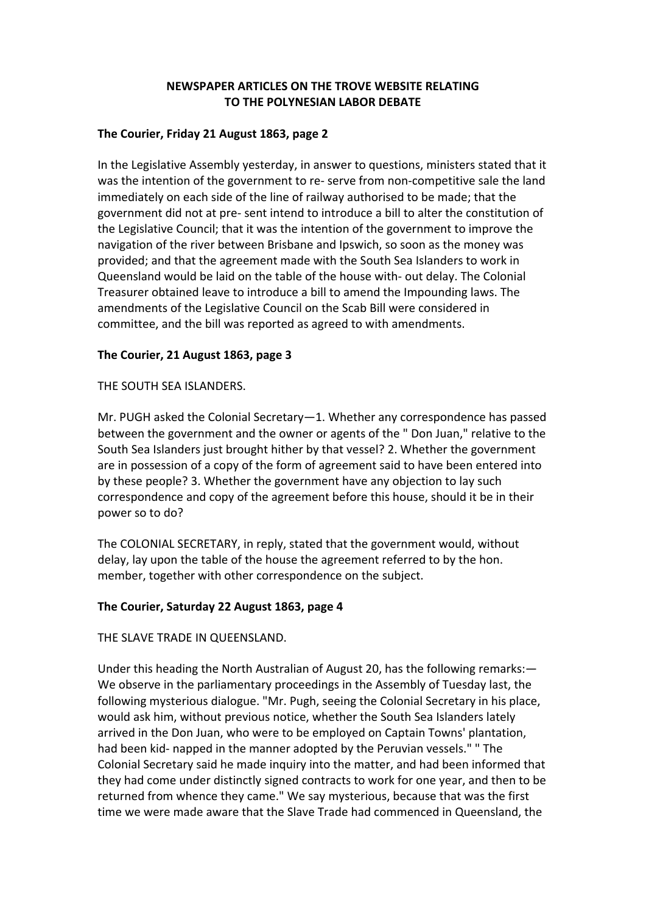# **NEWSPAPER ARTICLES ON THE TROVE WEBSITE RELATING TO THE POLYNESIAN LABOR DEBATE**

### **The Courier, Friday 21 August 1863, page 2**

In the Legislative Assembly yesterday, in answer to questions, ministers stated that it was the intention of the government to re- serve from non-competitive sale the land immediately on each side of the line of railway authorised to be made; that the government did not at pre‐ sent intend to introduce a bill to alter the constitution of the Legislative Council; that it was the intention of the government to improve the navigation of the river between Brisbane and Ipswich, so soon as the money was provided; and that the agreement made with the South Sea Islanders to work in Queensland would be laid on the table of the house with‐ out delay. The Colonial Treasurer obtained leave to introduce a bill to amend the Impounding laws. The amendments of the Legislative Council on the Scab Bill were considered in committee, and the bill was reported as agreed to with amendments.

# **The Courier, 21 August 1863, page 3**

THE SOUTH SEA ISLANDERS.

Mr. PUGH asked the Colonial Secretary—1. Whether any correspondence has passed between the government and the owner or agents of the " Don Juan," relative to the South Sea Islanders just brought hither by that vessel? 2. Whether the government are in possession of a copy of the form of agreement said to have been entered into by these people? 3. Whether the government have any objection to lay such correspondence and copy of the agreement before this house, should it be in their power so to do?

The COLONIAL SECRETARY, in reply, stated that the government would, without delay, lay upon the table of the house the agreement referred to by the hon. member, together with other correspondence on the subject.

# **The Courier, Saturday 22 August 1863, page 4**

THE SLAVE TRADE IN QUEENSLAND.

Under this heading the North Australian of August 20, has the following remarks:— We observe in the parliamentary proceedings in the Assembly of Tuesday last, the following mysterious dialogue. "Mr. Pugh, seeing the Colonial Secretary in his place, would ask him, without previous notice, whether the South Sea Islanders lately arrived in the Don Juan, who were to be employed on Captain Towns' plantation, had been kid- napped in the manner adopted by the Peruvian vessels." " The Colonial Secretary said he made inquiry into the matter, and had been informed that they had come under distinctly signed contracts to work for one year, and then to be returned from whence they came." We say mysterious, because that was the first time we were made aware that the Slave Trade had commenced in Queensland, the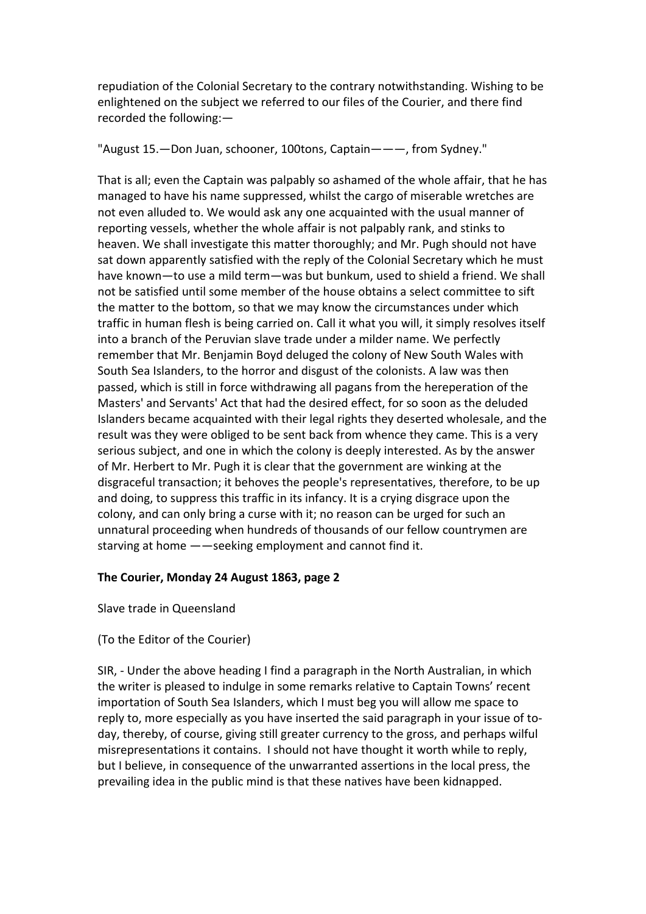repudiation of the Colonial Secretary to the contrary notwithstanding. Wishing to be enlightened on the subject we referred to our files of the Courier, and there find recorded the following:—

"August 15.—Don Juan, schooner, 100tons, Captain———, from Sydney."

That is all; even the Captain was palpably so ashamed of the whole affair, that he has managed to have his name suppressed, whilst the cargo of miserable wretches are not even alluded to. We would ask any one acquainted with the usual manner of reporting vessels, whether the whole affair is not palpably rank, and stinks to heaven. We shall investigate this matter thoroughly; and Mr. Pugh should not have sat down apparently satisfied with the reply of the Colonial Secretary which he must have known—to use a mild term—was but bunkum, used to shield a friend. We shall not be satisfied until some member of the house obtains a select committee to sift the matter to the bottom, so that we may know the circumstances under which traffic in human flesh is being carried on. Call it what you will, it simply resolves itself into a branch of the Peruvian slave trade under a milder name. We perfectly remember that Mr. Benjamin Boyd deluged the colony of New South Wales with South Sea Islanders, to the horror and disgust of the colonists. A law was then passed, which is still in force withdrawing all pagans from the hereperation of the Masters' and Servants' Act that had the desired effect, for so soon as the deluded Islanders became acquainted with their legal rights they deserted wholesale, and the result was they were obliged to be sent back from whence they came. This is a very serious subject, and one in which the colony is deeply interested. As by the answer of Mr. Herbert to Mr. Pugh it is clear that the government are winking at the disgraceful transaction; it behoves the people's representatives, therefore, to be up and doing, to suppress this traffic in its infancy. It is a crying disgrace upon the colony, and can only bring a curse with it; no reason can be urged for such an unnatural proceeding when hundreds of thousands of our fellow countrymen are starving at home ——seeking employment and cannot find it.

# **The Courier, Monday 24 August 1863, page 2**

Slave trade in Queensland

# (To the Editor of the Courier)

SIR, ‐ Under the above heading I find a paragraph in the North Australian, in which the writer is pleased to indulge in some remarks relative to Captain Towns' recent importation of South Sea Islanders, which I must beg you will allow me space to reply to, more especially as you have inserted the said paragraph in your issue of to‐ day, thereby, of course, giving still greater currency to the gross, and perhaps wilful misrepresentations it contains. I should not have thought it worth while to reply, but I believe, in consequence of the unwarranted assertions in the local press, the prevailing idea in the public mind is that these natives have been kidnapped.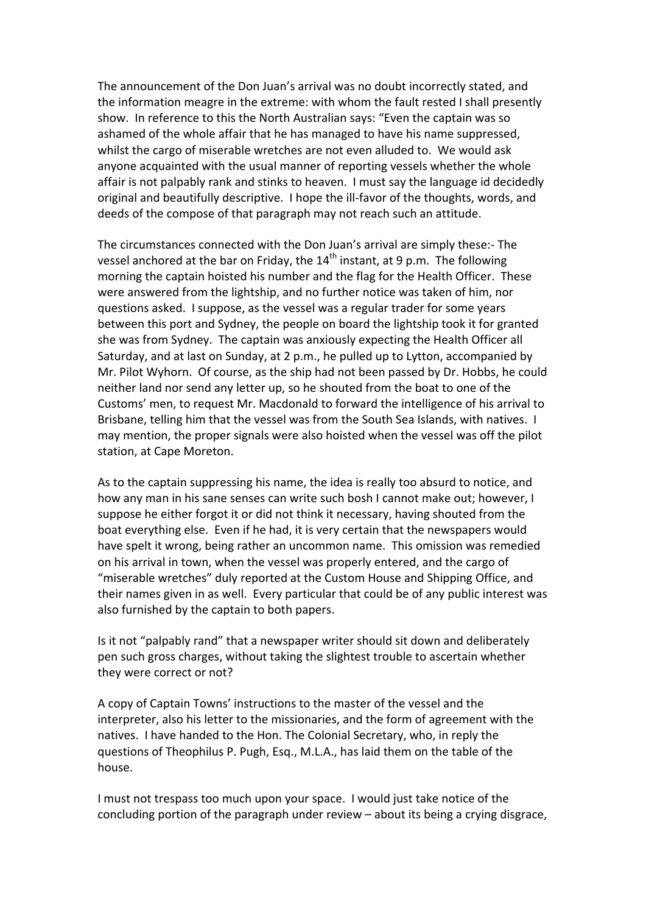The announcement of the Don Juan's arrival was no doubt incorrectly stated, and the information meagre in the extreme: with whom the fault rested I shall presently show. In reference to this the North Australian says: "Even the captain was so ashamed of the whole affair that he has managed to have his name suppressed, whilst the cargo of miserable wretches are not even alluded to. We would ask anyone acquainted with the usual manner of reporting vessels whether the whole affair is not palpably rank and stinks to heaven. I must say the language id decidedly original and beautifully descriptive. I hope the ill‐favor of the thoughts, words, and deeds of the compose of that paragraph may not reach such an attitude.

The circumstances connected with the Don Juan's arrival are simply these:‐ The vessel anchored at the bar on Friday, the  $14<sup>th</sup>$  instant, at 9 p.m. The following morning the captain hoisted his number and the flag for the Health Officer. These were answered from the lightship, and no further notice was taken of him, nor questions asked. I suppose, as the vessel was a regular trader for some years between this port and Sydney, the people on board the lightship took it for granted she was from Sydney. The captain was anxiously expecting the Health Officer all Saturday, and at last on Sunday, at 2 p.m., he pulled up to Lytton, accompanied by Mr. Pilot Wyhorn. Of course, as the ship had not been passed by Dr. Hobbs, he could neither land nor send any letter up, so he shouted from the boat to one of the Customs' men, to request Mr. Macdonald to forward the intelligence of his arrival to Brisbane, telling him that the vessel was from the South Sea Islands, with natives. I may mention, the proper signals were also hoisted when the vessel was off the pilot station, at Cape Moreton.

As to the captain suppressing his name, the idea is really too absurd to notice, and how any man in his sane senses can write such bosh I cannot make out; however, I suppose he either forgot it or did not think it necessary, having shouted from the boat everything else. Even if he had, it is very certain that the newspapers would have spelt it wrong, being rather an uncommon name. This omission was remedied on his arrival in town, when the vessel was properly entered, and the cargo of "miserable wretches" duly reported at the Custom House and Shipping Office, and their names given in as well. Every particular that could be of any public interest was also furnished by the captain to both papers.

Is it not "palpably rand" that a newspaper writer should sit down and deliberately pen such gross charges, without taking the slightest trouble to ascertain whether they were correct or not?

A copy of Captain Towns' instructions to the master of the vessel and the interpreter, also his letter to the missionaries, and the form of agreement with the natives. I have handed to the Hon. The Colonial Secretary, who, in reply the questions of Theophilus P. Pugh, Esq., M.L.A., has laid them on the table of the house.

I must not trespass too much upon your space. I would just take notice of the concluding portion of the paragraph under review – about its being a crying disgrace,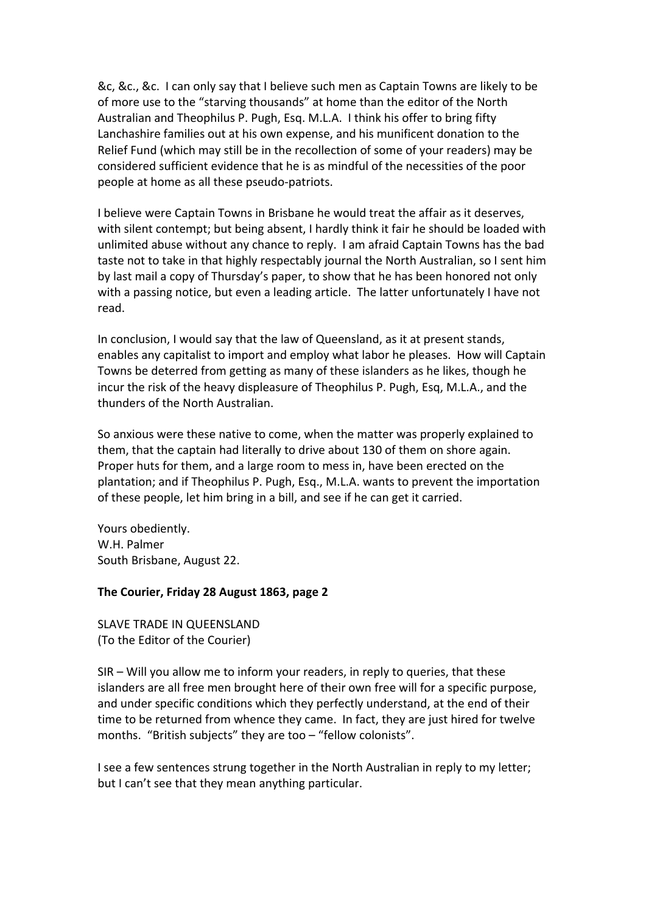&c, &c., &c. I can only say that I believe such men as Captain Towns are likely to be of more use to the "starving thousands" at home than the editor of the North Australian and Theophilus P. Pugh, Esq. M.L.A. I think his offer to bring fifty Lanchashire families out at his own expense, and his munificent donation to the Relief Fund (which may still be in the recollection of some of your readers) may be considered sufficient evidence that he is as mindful of the necessities of the poor people at home as all these pseudo‐patriots.

I believe were Captain Towns in Brisbane he would treat the affair as it deserves, with silent contempt; but being absent, I hardly think it fair he should be loaded with unlimited abuse without any chance to reply. I am afraid Captain Towns has the bad taste not to take in that highly respectably journal the North Australian, so I sent him by last mail a copy of Thursday's paper, to show that he has been honored not only with a passing notice, but even a leading article. The latter unfortunately I have not read.

In conclusion, I would say that the law of Queensland, as it at present stands, enables any capitalist to import and employ what labor he pleases. How will Captain Towns be deterred from getting as many of these islanders as he likes, though he incur the risk of the heavy displeasure of Theophilus P. Pugh, Esq, M.L.A., and the thunders of the North Australian.

So anxious were these native to come, when the matter was properly explained to them, that the captain had literally to drive about 130 of them on shore again. Proper huts for them, and a large room to mess in, have been erected on the plantation; and if Theophilus P. Pugh, Esq., M.L.A. wants to prevent the importation of these people, let him bring in a bill, and see if he can get it carried.

Yours obediently. W.H. Palmer South Brisbane, August 22.

### **The Courier, Friday 28 August 1863, page 2**

SLAVE TRADE IN QUEENSLAND (To the Editor of the Courier)

SIR – Will you allow me to inform your readers, in reply to queries, that these islanders are all free men brought here of their own free will for a specific purpose, and under specific conditions which they perfectly understand, at the end of their time to be returned from whence they came. In fact, they are just hired for twelve months. "British subjects" they are too - "fellow colonists".

I see a few sentences strung together in the North Australian in reply to my letter; but I can't see that they mean anything particular.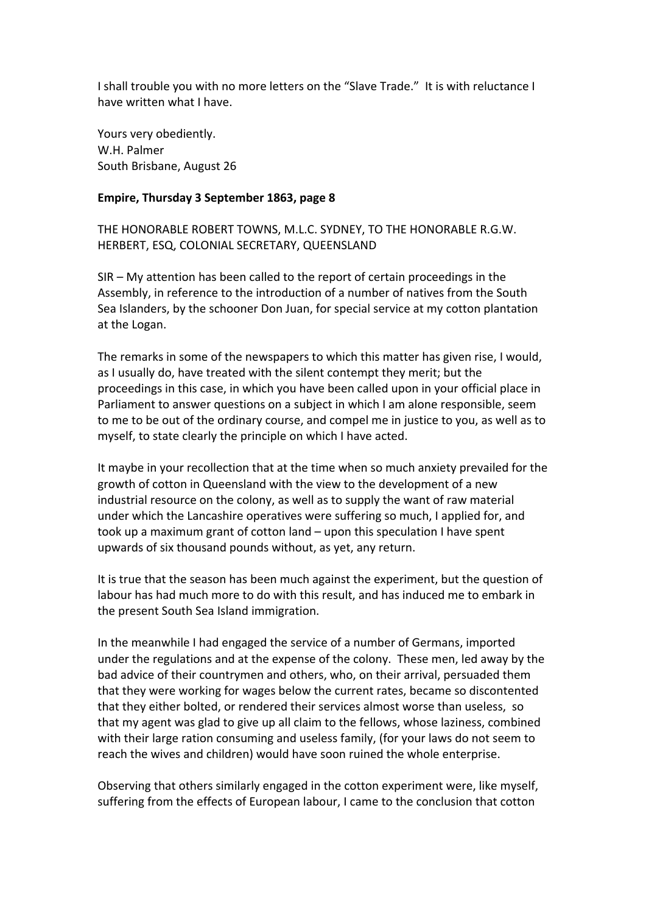I shall trouble you with no more letters on the "Slave Trade." It is with reluctance I have written what I have.

Yours very obediently. W.H. Palmer South Brisbane, August 26

#### **Empire, Thursday 3 September 1863, page 8**

THE HONORABLE ROBERT TOWNS, M.L.C. SYDNEY, TO THE HONORABLE R.G.W. HERBERT, ESQ, COLONIAL SECRETARY, QUEENSLAND

SIR – My attention has been called to the report of certain proceedings in the Assembly, in reference to the introduction of a number of natives from the South Sea Islanders, by the schooner Don Juan, for special service at my cotton plantation at the Logan.

The remarks in some of the newspapers to which this matter has given rise, I would, as I usually do, have treated with the silent contempt they merit; but the proceedings in this case, in which you have been called upon in your official place in Parliament to answer questions on a subject in which I am alone responsible, seem to me to be out of the ordinary course, and compel me in justice to you, as well as to myself, to state clearly the principle on which I have acted.

It maybe in your recollection that at the time when so much anxiety prevailed for the growth of cotton in Queensland with the view to the development of a new industrial resource on the colony, as well as to supply the want of raw material under which the Lancashire operatives were suffering so much, I applied for, and took up a maximum grant of cotton land – upon this speculation I have spent upwards of six thousand pounds without, as yet, any return.

It is true that the season has been much against the experiment, but the question of labour has had much more to do with this result, and has induced me to embark in the present South Sea Island immigration.

In the meanwhile I had engaged the service of a number of Germans, imported under the regulations and at the expense of the colony. These men, led away by the bad advice of their countrymen and others, who, on their arrival, persuaded them that they were working for wages below the current rates, became so discontented that they either bolted, or rendered their services almost worse than useless, so that my agent was glad to give up all claim to the fellows, whose laziness, combined with their large ration consuming and useless family, (for your laws do not seem to reach the wives and children) would have soon ruined the whole enterprise.

Observing that others similarly engaged in the cotton experiment were, like myself, suffering from the effects of European labour, I came to the conclusion that cotton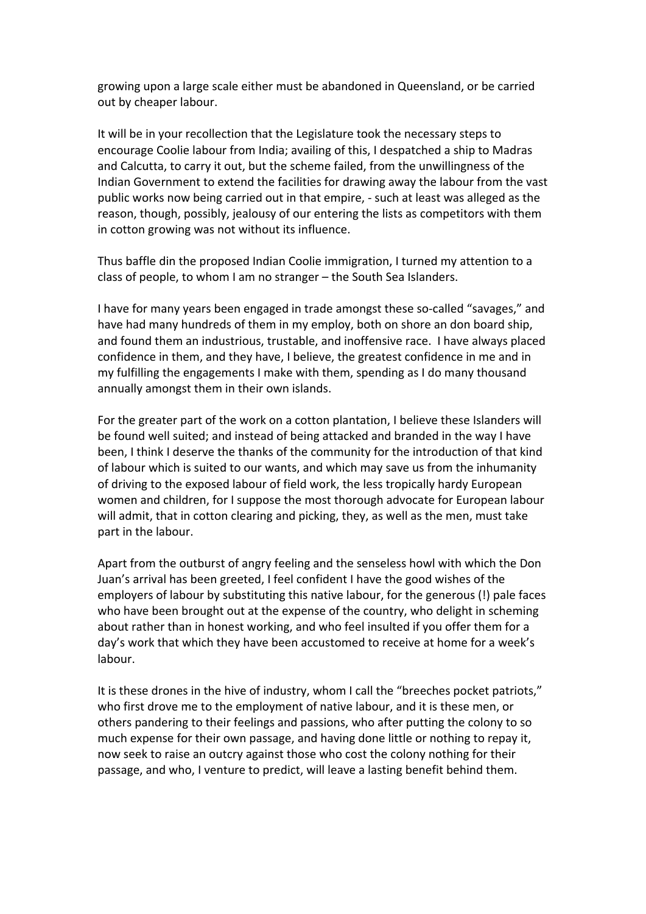growing upon a large scale either must be abandoned in Queensland, or be carried out by cheaper labour.

It will be in your recollection that the Legislature took the necessary steps to encourage Coolie labour from India; availing of this, I despatched a ship to Madras and Calcutta, to carry it out, but the scheme failed, from the unwillingness of the Indian Government to extend the facilities for drawing away the labour from the vast public works now being carried out in that empire, ‐ such at least was alleged as the reason, though, possibly, jealousy of our entering the lists as competitors with them in cotton growing was not without its influence.

Thus baffle din the proposed Indian Coolie immigration, I turned my attention to a class of people, to whom I am no stranger – the South Sea Islanders.

I have for many years been engaged in trade amongst these so‐called "savages," and have had many hundreds of them in my employ, both on shore an don board ship, and found them an industrious, trustable, and inoffensive race. I have always placed confidence in them, and they have, I believe, the greatest confidence in me and in my fulfilling the engagements I make with them, spending as I do many thousand annually amongst them in their own islands.

For the greater part of the work on a cotton plantation, I believe these Islanders will be found well suited; and instead of being attacked and branded in the way I have been, I think I deserve the thanks of the community for the introduction of that kind of labour which is suited to our wants, and which may save us from the inhumanity of driving to the exposed labour of field work, the less tropically hardy European women and children, for I suppose the most thorough advocate for European labour will admit, that in cotton clearing and picking, they, as well as the men, must take part in the labour.

Apart from the outburst of angry feeling and the senseless howl with which the Don Juan's arrival has been greeted, I feel confident I have the good wishes of the employers of labour by substituting this native labour, for the generous (!) pale faces who have been brought out at the expense of the country, who delight in scheming about rather than in honest working, and who feel insulted if you offer them for a day's work that which they have been accustomed to receive at home for a week's labour.

It is these drones in the hive of industry, whom I call the "breeches pocket patriots," who first drove me to the employment of native labour, and it is these men, or others pandering to their feelings and passions, who after putting the colony to so much expense for their own passage, and having done little or nothing to repay it, now seek to raise an outcry against those who cost the colony nothing for their passage, and who, I venture to predict, will leave a lasting benefit behind them.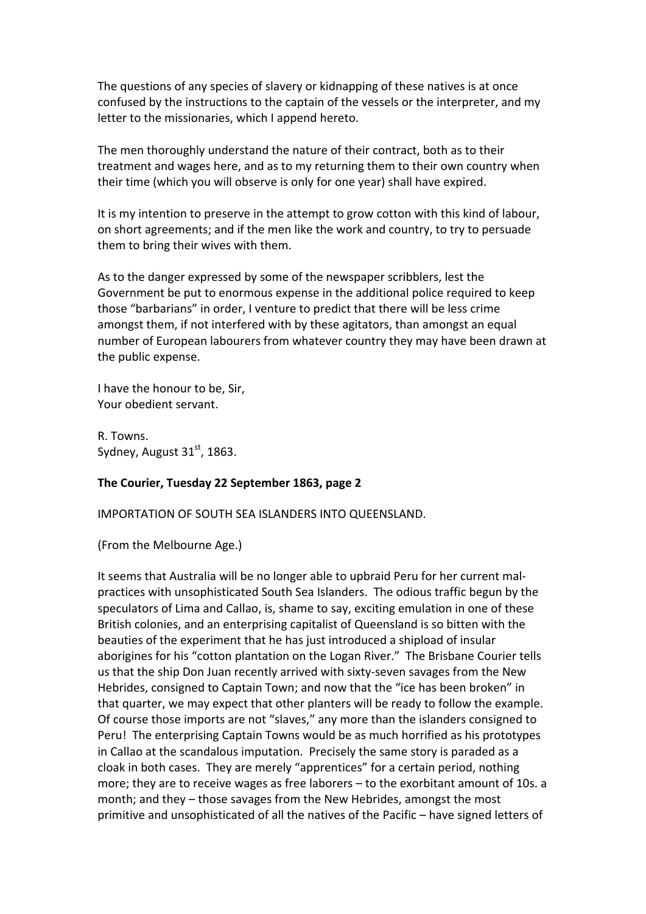The questions of any species of slavery or kidnapping of these natives is at once confused by the instructions to the captain of the vessels or the interpreter, and my letter to the missionaries, which I append hereto.

The men thoroughly understand the nature of their contract, both as to their treatment and wages here, and as to my returning them to their own country when their time (which you will observe is only for one year) shall have expired.

It is my intention to preserve in the attempt to grow cotton with this kind of labour, on short agreements; and if the men like the work and country, to try to persuade them to bring their wives with them.

As to the danger expressed by some of the newspaper scribblers, lest the Government be put to enormous expense in the additional police required to keep those "barbarians" in order, I venture to predict that there will be less crime amongst them, if not interfered with by these agitators, than amongst an equal number of European labourers from whatever country they may have been drawn at the public expense.

I have the honour to be, Sir, Your obedient servant.

R. Towns. Sydney, August  $31<sup>st</sup>$ , 1863.

### **The Courier, Tuesday 22 September 1863, page 2**

IMPORTATION OF SOUTH SEA ISLANDERS INTO QUEENSLAND.

(From the Melbourne Age.)

It seems that Australia will be no longer able to upbraid Peru for her current mal‐ practices with unsophisticated South Sea Islanders. The odious traffic begun by the speculators of Lima and Callao, is, shame to say, exciting emulation in one of these British colonies, and an enterprising capitalist of Queensland is so bitten with the beauties of the experiment that he has just introduced a shipload of insular aborigines for his "cotton plantation on the Logan River." The Brisbane Courier tells us that the ship Don Juan recently arrived with sixty‐seven savages from the New Hebrides, consigned to Captain Town; and now that the "ice has been broken" in that quarter, we may expect that other planters will be ready to follow the example. Of course those imports are not "slaves," any more than the islanders consigned to Peru! The enterprising Captain Towns would be as much horrified as his prototypes in Callao at the scandalous imputation. Precisely the same story is paraded as a cloak in both cases. They are merely "apprentices" for a certain period, nothing more; they are to receive wages as free laborers – to the exorbitant amount of 10s. a month; and they – those savages from the New Hebrides, amongst the most primitive and unsophisticated of all the natives of the Pacific – have signed letters of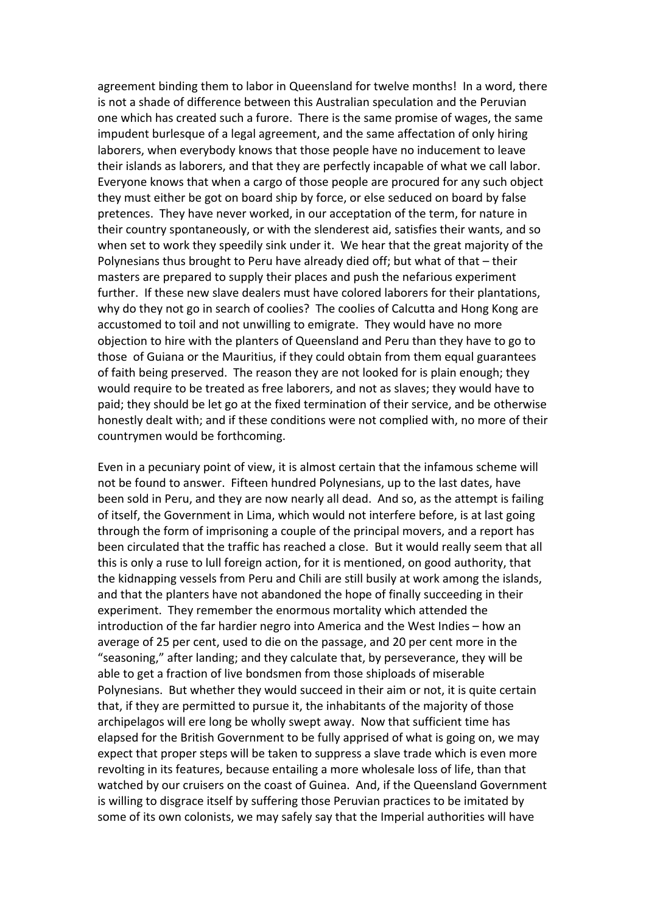agreement binding them to labor in Queensland for twelve months! In a word, there is not a shade of difference between this Australian speculation and the Peruvian one which has created such a furore. There is the same promise of wages, the same impudent burlesque of a legal agreement, and the same affectation of only hiring laborers, when everybody knows that those people have no inducement to leave their islands as laborers, and that they are perfectly incapable of what we call labor. Everyone knows that when a cargo of those people are procured for any such object they must either be got on board ship by force, or else seduced on board by false pretences. They have never worked, in our acceptation of the term, for nature in their country spontaneously, or with the slenderest aid, satisfies their wants, and so when set to work they speedily sink under it. We hear that the great majority of the Polynesians thus brought to Peru have already died off; but what of that – their masters are prepared to supply their places and push the nefarious experiment further. If these new slave dealers must have colored laborers for their plantations, why do they not go in search of coolies? The coolies of Calcutta and Hong Kong are accustomed to toil and not unwilling to emigrate. They would have no more objection to hire with the planters of Queensland and Peru than they have to go to those of Guiana or the Mauritius, if they could obtain from them equal guarantees of faith being preserved. The reason they are not looked for is plain enough; they would require to be treated as free laborers, and not as slaves; they would have to paid; they should be let go at the fixed termination of their service, and be otherwise honestly dealt with; and if these conditions were not complied with, no more of their countrymen would be forthcoming.

Even in a pecuniary point of view, it is almost certain that the infamous scheme will not be found to answer. Fifteen hundred Polynesians, up to the last dates, have been sold in Peru, and they are now nearly all dead. And so, as the attempt is failing of itself, the Government in Lima, which would not interfere before, is at last going through the form of imprisoning a couple of the principal movers, and a report has been circulated that the traffic has reached a close. But it would really seem that all this is only a ruse to lull foreign action, for it is mentioned, on good authority, that the kidnapping vessels from Peru and Chili are still busily at work among the islands, and that the planters have not abandoned the hope of finally succeeding in their experiment. They remember the enormous mortality which attended the introduction of the far hardier negro into America and the West Indies – how an average of 25 per cent, used to die on the passage, and 20 per cent more in the "seasoning," after landing; and they calculate that, by perseverance, they will be able to get a fraction of live bondsmen from those shiploads of miserable Polynesians. But whether they would succeed in their aim or not, it is quite certain that, if they are permitted to pursue it, the inhabitants of the majority of those archipelagos will ere long be wholly swept away. Now that sufficient time has elapsed for the British Government to be fully apprised of what is going on, we may expect that proper steps will be taken to suppress a slave trade which is even more revolting in its features, because entailing a more wholesale loss of life, than that watched by our cruisers on the coast of Guinea. And, if the Queensland Government is willing to disgrace itself by suffering those Peruvian practices to be imitated by some of its own colonists, we may safely say that the Imperial authorities will have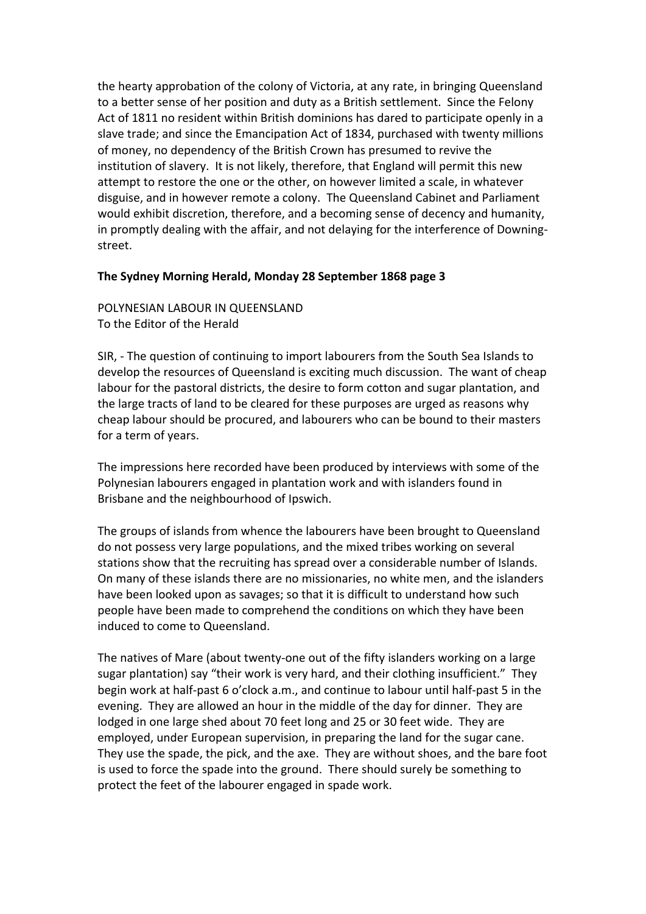the hearty approbation of the colony of Victoria, at any rate, in bringing Queensland to a better sense of her position and duty as a British settlement. Since the Felony Act of 1811 no resident within British dominions has dared to participate openly in a slave trade; and since the Emancipation Act of 1834, purchased with twenty millions of money, no dependency of the British Crown has presumed to revive the institution of slavery. It is not likely, therefore, that England will permit this new attempt to restore the one or the other, on however limited a scale, in whatever disguise, and in however remote a colony. The Queensland Cabinet and Parliament would exhibit discretion, therefore, and a becoming sense of decency and humanity, in promptly dealing with the affair, and not delaying for the interference of Downing‐ street.

### **The Sydney Morning Herald, Monday 28 September 1868 page 3**

POLYNESIAN LABOUR IN QUEENSLAND To the Editor of the Herald

SIR, ‐ The question of continuing to import labourers from the South Sea Islands to develop the resources of Queensland is exciting much discussion. The want of cheap labour for the pastoral districts, the desire to form cotton and sugar plantation, and the large tracts of land to be cleared for these purposes are urged as reasons why cheap labour should be procured, and labourers who can be bound to their masters for a term of years.

The impressions here recorded have been produced by interviews with some of the Polynesian labourers engaged in plantation work and with islanders found in Brisbane and the neighbourhood of Ipswich.

The groups of islands from whence the labourers have been brought to Queensland do not possess very large populations, and the mixed tribes working on several stations show that the recruiting has spread over a considerable number of Islands. On many of these islands there are no missionaries, no white men, and the islanders have been looked upon as savages; so that it is difficult to understand how such people have been made to comprehend the conditions on which they have been induced to come to Queensland.

The natives of Mare (about twenty‐one out of the fifty islanders working on a large sugar plantation) say "their work is very hard, and their clothing insufficient." They begin work at half‐past 6 o'clock a.m., and continue to labour until half‐past 5 in the evening. They are allowed an hour in the middle of the day for dinner. They are lodged in one large shed about 70 feet long and 25 or 30 feet wide. They are employed, under European supervision, in preparing the land for the sugar cane. They use the spade, the pick, and the axe. They are without shoes, and the bare foot is used to force the spade into the ground. There should surely be something to protect the feet of the labourer engaged in spade work.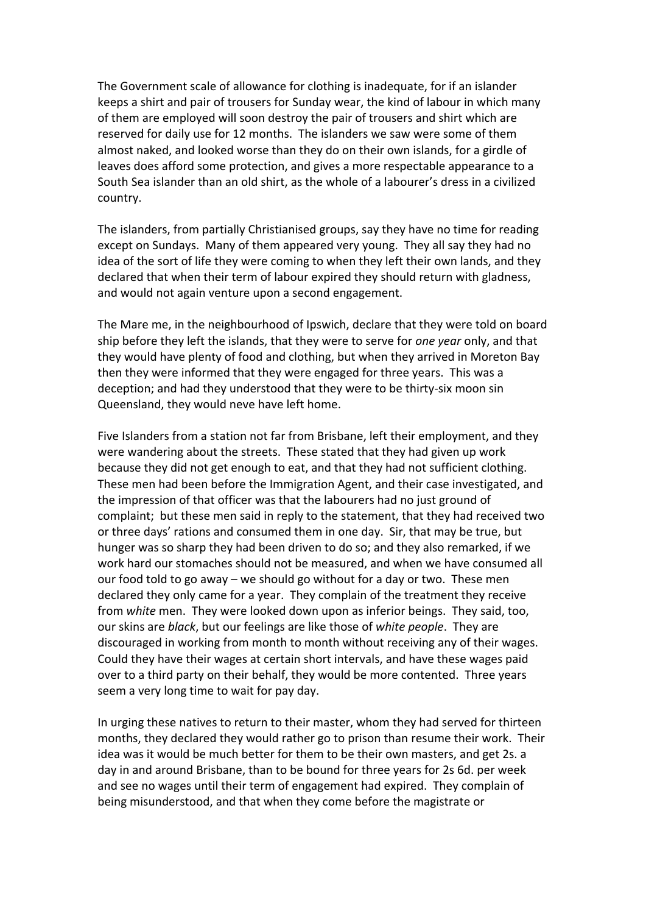The Government scale of allowance for clothing is inadequate, for if an islander keeps a shirt and pair of trousers for Sunday wear, the kind of labour in which many of them are employed will soon destroy the pair of trousers and shirt which are reserved for daily use for 12 months. The islanders we saw were some of them almost naked, and looked worse than they do on their own islands, for a girdle of leaves does afford some protection, and gives a more respectable appearance to a South Sea islander than an old shirt, as the whole of a labourer's dress in a civilized country.

The islanders, from partially Christianised groups, say they have no time for reading except on Sundays. Many of them appeared very young. They all say they had no idea of the sort of life they were coming to when they left their own lands, and they declared that when their term of labour expired they should return with gladness, and would not again venture upon a second engagement.

The Mare me, in the neighbourhood of Ipswich, declare that they were told on board ship before they left the islands, that they were to serve for *one year* only, and that they would have plenty of food and clothing, but when they arrived in Moreton Bay then they were informed that they were engaged for three years. This was a deception; and had they understood that they were to be thirty‐six moon sin Queensland, they would neve have left home.

Five Islanders from a station not far from Brisbane, left their employment, and they were wandering about the streets. These stated that they had given up work because they did not get enough to eat, and that they had not sufficient clothing. These men had been before the Immigration Agent, and their case investigated, and the impression of that officer was that the labourers had no just ground of complaint; but these men said in reply to the statement, that they had received two or three days' rations and consumed them in one day. Sir, that may be true, but hunger was so sharp they had been driven to do so; and they also remarked, if we work hard our stomaches should not be measured, and when we have consumed all our food told to go away – we should go without for a day or two. These men declared they only came for a year. They complain of the treatment they receive from *white* men. They were looked down upon as inferior beings. They said, too, our skins are *black*, but our feelings are like those of *white people*. They are discouraged in working from month to month without receiving any of their wages. Could they have their wages at certain short intervals, and have these wages paid over to a third party on their behalf, they would be more contented. Three years seem a very long time to wait for pay day.

In urging these natives to return to their master, whom they had served for thirteen months, they declared they would rather go to prison than resume their work. Their idea was it would be much better for them to be their own masters, and get 2s. a day in and around Brisbane, than to be bound for three years for 2s 6d. per week and see no wages until their term of engagement had expired. They complain of being misunderstood, and that when they come before the magistrate or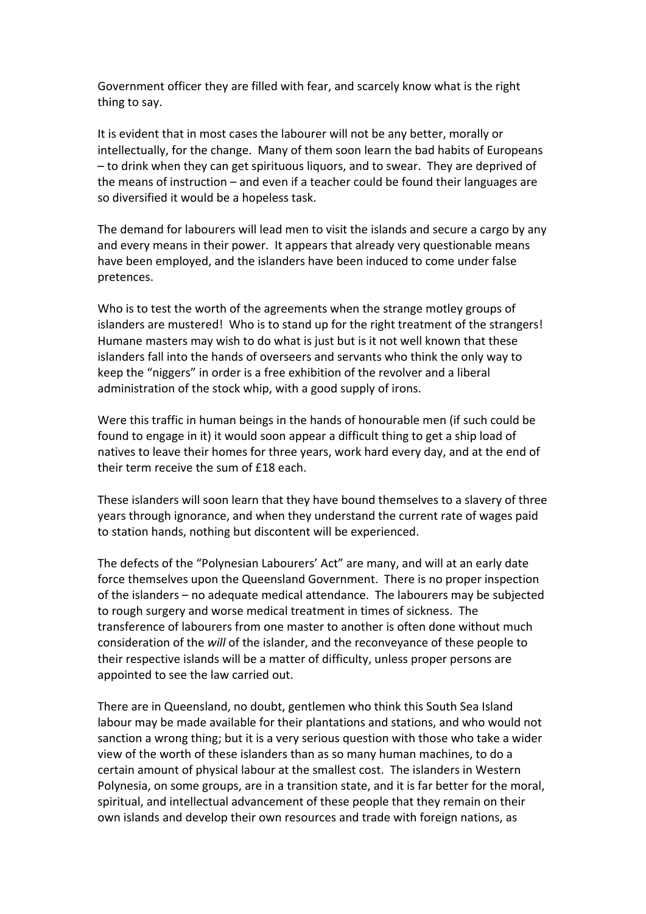Government officer they are filled with fear, and scarcely know what is the right thing to say.

It is evident that in most cases the labourer will not be any better, morally or intellectually, for the change. Many of them soon learn the bad habits of Europeans – to drink when they can get spirituous liquors, and to swear. They are deprived of the means of instruction – and even if a teacher could be found their languages are so diversified it would be a hopeless task.

The demand for labourers will lead men to visit the islands and secure a cargo by any and every means in their power. It appears that already very questionable means have been employed, and the islanders have been induced to come under false pretences.

Who is to test the worth of the agreements when the strange motley groups of islanders are mustered! Who is to stand up for the right treatment of the strangers! Humane masters may wish to do what is just but is it not well known that these islanders fall into the hands of overseers and servants who think the only way to keep the "niggers" in order is a free exhibition of the revolver and a liberal administration of the stock whip, with a good supply of irons.

Were this traffic in human beings in the hands of honourable men (if such could be found to engage in it) it would soon appear a difficult thing to get a ship load of natives to leave their homes for three years, work hard every day, and at the end of their term receive the sum of £18 each.

These islanders will soon learn that they have bound themselves to a slavery of three years through ignorance, and when they understand the current rate of wages paid to station hands, nothing but discontent will be experienced.

The defects of the "Polynesian Labourers' Act" are many, and will at an early date force themselves upon the Queensland Government. There is no proper inspection of the islanders – no adequate medical attendance. The labourers may be subjected to rough surgery and worse medical treatment in times of sickness. The transference of labourers from one master to another is often done without much consideration of the *will* of the islander, and the reconveyance of these people to their respective islands will be a matter of difficulty, unless proper persons are appointed to see the law carried out.

There are in Queensland, no doubt, gentlemen who think this South Sea Island labour may be made available for their plantations and stations, and who would not sanction a wrong thing; but it is a very serious question with those who take a wider view of the worth of these islanders than as so many human machines, to do a certain amount of physical labour at the smallest cost. The islanders in Western Polynesia, on some groups, are in a transition state, and it is far better for the moral, spiritual, and intellectual advancement of these people that they remain on their own islands and develop their own resources and trade with foreign nations, as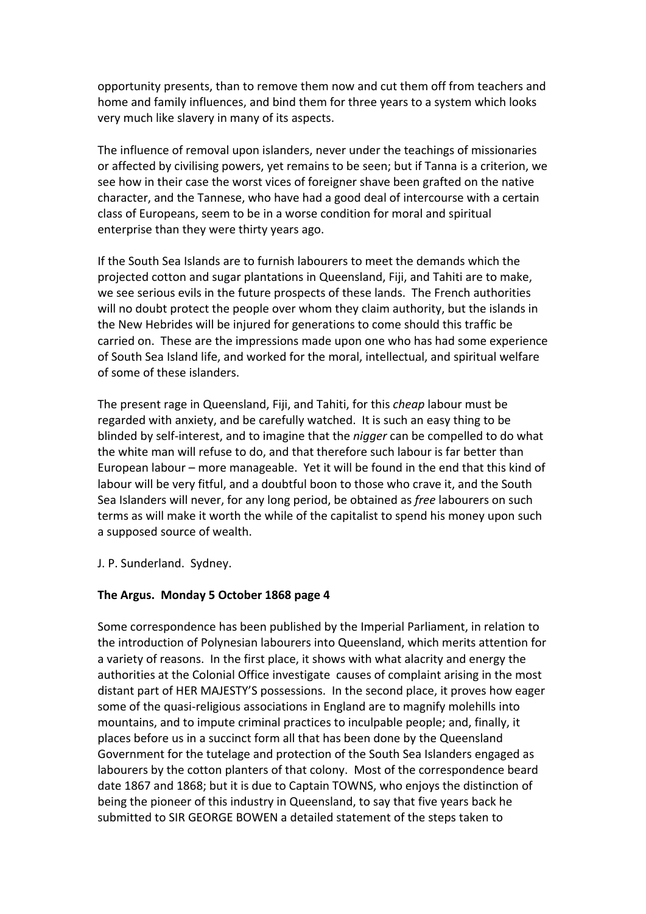opportunity presents, than to remove them now and cut them off from teachers and home and family influences, and bind them for three years to a system which looks very much like slavery in many of its aspects.

The influence of removal upon islanders, never under the teachings of missionaries or affected by civilising powers, yet remains to be seen; but if Tanna is a criterion, we see how in their case the worst vices of foreigner shave been grafted on the native character, and the Tannese, who have had a good deal of intercourse with a certain class of Europeans, seem to be in a worse condition for moral and spiritual enterprise than they were thirty years ago.

If the South Sea Islands are to furnish labourers to meet the demands which the projected cotton and sugar plantations in Queensland, Fiji, and Tahiti are to make, we see serious evils in the future prospects of these lands. The French authorities will no doubt protect the people over whom they claim authority, but the islands in the New Hebrides will be injured for generations to come should this traffic be carried on. These are the impressions made upon one who has had some experience of South Sea Island life, and worked for the moral, intellectual, and spiritual welfare of some of these islanders.

The present rage in Queensland, Fiji, and Tahiti, for this *cheap* labour must be regarded with anxiety, and be carefully watched. It is such an easy thing to be blinded by self‐interest, and to imagine that the *nigger* can be compelled to do what the white man will refuse to do, and that therefore such labour is far better than European labour – more manageable. Yet it will be found in the end that this kind of labour will be very fitful, and a doubtful boon to those who crave it, and the South Sea Islanders will never, for any long period, be obtained as *free* labourers on such terms as will make it worth the while of the capitalist to spend his money upon such a supposed source of wealth.

J. P. Sunderland. Sydney.

# **The Argus. Monday 5 October 1868 page 4**

Some correspondence has been published by the Imperial Parliament, in relation to the introduction of Polynesian labourers into Queensland, which merits attention for a variety of reasons. In the first place, it shows with what alacrity and energy the authorities at the Colonial Office investigate causes of complaint arising in the most distant part of HER MAJESTY'S possessions. In the second place, it proves how eager some of the quasi-religious associations in England are to magnify molehills into mountains, and to impute criminal practices to inculpable people; and, finally, it places before us in a succinct form all that has been done by the Queensland Government for the tutelage and protection of the South Sea Islanders engaged as labourers by the cotton planters of that colony. Most of the correspondence beard date 1867 and 1868; but it is due to Captain TOWNS, who enjoys the distinction of being the pioneer of this industry in Queensland, to say that five years back he submitted to SIR GEORGE BOWEN a detailed statement of the steps taken to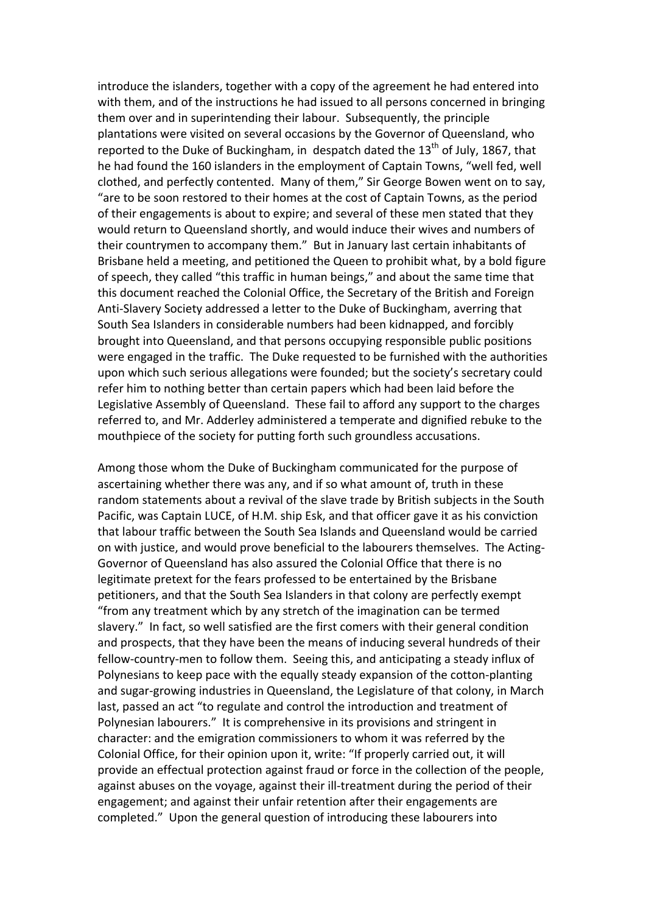introduce the islanders, together with a copy of the agreement he had entered into with them, and of the instructions he had issued to all persons concerned in bringing them over and in superintending their labour. Subsequently, the principle plantations were visited on several occasions by the Governor of Queensland, who reported to the Duke of Buckingham, in despatch dated the  $13<sup>th</sup>$  of July, 1867, that he had found the 160 islanders in the employment of Captain Towns, "well fed, well clothed, and perfectly contented. Many of them," Sir George Bowen went on to say, "are to be soon restored to their homes at the cost of Captain Towns, as the period of their engagements is about to expire; and several of these men stated that they would return to Queensland shortly, and would induce their wives and numbers of their countrymen to accompany them." But in January last certain inhabitants of Brisbane held a meeting, and petitioned the Queen to prohibit what, by a bold figure of speech, they called "this traffic in human beings," and about the same time that this document reached the Colonial Office, the Secretary of the British and Foreign Anti‐Slavery Society addressed a letter to the Duke of Buckingham, averring that South Sea Islanders in considerable numbers had been kidnapped, and forcibly brought into Queensland, and that persons occupying responsible public positions were engaged in the traffic. The Duke requested to be furnished with the authorities upon which such serious allegations were founded; but the society's secretary could refer him to nothing better than certain papers which had been laid before the Legislative Assembly of Queensland. These fail to afford any support to the charges referred to, and Mr. Adderley administered a temperate and dignified rebuke to the mouthpiece of the society for putting forth such groundless accusations.

Among those whom the Duke of Buckingham communicated for the purpose of ascertaining whether there was any, and if so what amount of, truth in these random statements about a revival of the slave trade by British subjects in the South Pacific, was Captain LUCE, of H.M. ship Esk, and that officer gave it as his conviction that labour traffic between the South Sea Islands and Queensland would be carried on with justice, and would prove beneficial to the labourers themselves. The Acting‐ Governor of Queensland has also assured the Colonial Office that there is no legitimate pretext for the fears professed to be entertained by the Brisbane petitioners, and that the South Sea Islanders in that colony are perfectly exempt "from any treatment which by any stretch of the imagination can be termed slavery." In fact, so well satisfied are the first comers with their general condition and prospects, that they have been the means of inducing several hundreds of their fellow-country-men to follow them. Seeing this, and anticipating a steady influx of Polynesians to keep pace with the equally steady expansion of the cotton‐planting and sugar‐growing industries in Queensland, the Legislature of that colony, in March last, passed an act "to regulate and control the introduction and treatment of Polynesian labourers." It is comprehensive in its provisions and stringent in character: and the emigration commissioners to whom it was referred by the Colonial Office, for their opinion upon it, write: "If properly carried out, it will provide an effectual protection against fraud or force in the collection of the people, against abuses on the voyage, against their ill‐treatment during the period of their engagement; and against their unfair retention after their engagements are completed." Upon the general question of introducing these labourers into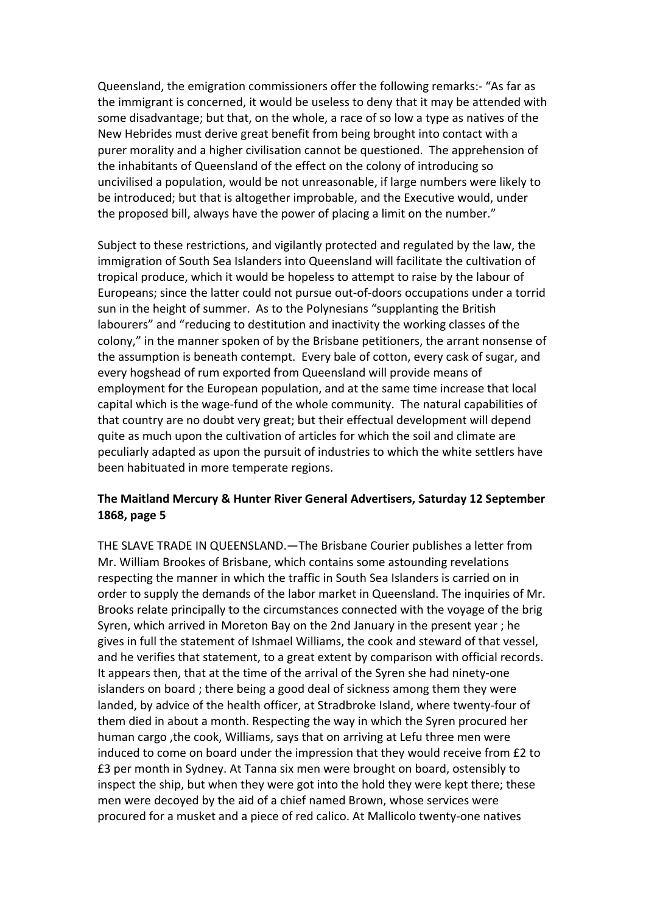Queensland, the emigration commissioners offer the following remarks:‐ "As far as the immigrant is concerned, it would be useless to deny that it may be attended with some disadvantage; but that, on the whole, a race of so low a type as natives of the New Hebrides must derive great benefit from being brought into contact with a purer morality and a higher civilisation cannot be questioned. The apprehension of the inhabitants of Queensland of the effect on the colony of introducing so uncivilised a population, would be not unreasonable, if large numbers were likely to be introduced; but that is altogether improbable, and the Executive would, under the proposed bill, always have the power of placing a limit on the number."

Subject to these restrictions, and vigilantly protected and regulated by the law, the immigration of South Sea Islanders into Queensland will facilitate the cultivation of tropical produce, which it would be hopeless to attempt to raise by the labour of Europeans; since the latter could not pursue out‐of‐doors occupations under a torrid sun in the height of summer. As to the Polynesians "supplanting the British labourers" and "reducing to destitution and inactivity the working classes of the colony," in the manner spoken of by the Brisbane petitioners, the arrant nonsense of the assumption is beneath contempt. Every bale of cotton, every cask of sugar, and every hogshead of rum exported from Queensland will provide means of employment for the European population, and at the same time increase that local capital which is the wage‐fund of the whole community. The natural capabilities of that country are no doubt very great; but their effectual development will depend quite as much upon the cultivation of articles for which the soil and climate are peculiarly adapted as upon the pursuit of industries to which the white settlers have been habituated in more temperate regions.

### **The Maitland Mercury & Hunter River General Advertisers, Saturday 12 September 1868, page 5**

THE SLAVE TRADE IN QUEENSLAND.—The Brisbane Courier publishes a letter from Mr. William Brookes of Brisbane, which contains some astounding revelations respecting the manner in which the traffic in South Sea Islanders is carried on in order to supply the demands of the labor market in Queensland. The inquiries of Mr. Brooks relate principally to the circumstances connected with the voyage of the brig Syren, which arrived in Moreton Bay on the 2nd January in the present year ; he gives in full the statement of Ishmael Williams, the cook and steward of that vessel, and he verifies that statement, to a great extent by comparison with official records. It appears then, that at the time of the arrival of the Syren she had ninety‐one islanders on board ; there being a good deal of sickness among them they were landed, by advice of the health officer, at Stradbroke Island, where twenty‐four of them died in about a month. Respecting the way in which the Syren procured her human cargo ,the cook, Williams, says that on arriving at Lefu three men were induced to come on board under the impression that they would receive from £2 to £3 per month in Sydney. At Tanna six men were brought on board, ostensibly to inspect the ship, but when they were got into the hold they were kept there; these men were decoyed by the aid of a chief named Brown, whose services were procured for a musket and a piece of red calico. At Mallicolo twenty‐one natives